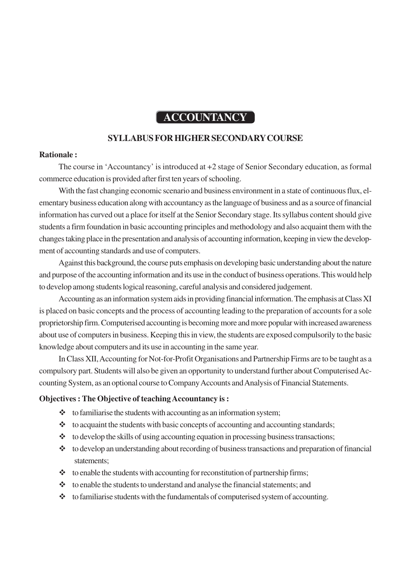# **ACCOUNTANCY**

#### **SYLLABUS FOR HIGHER SECONDARY COURSE**

#### **Rationale :**

The course in 'Accountancy' is introduced at +2 stage of Senior Secondary education, as formal commerce education is provided after first ten years of schooling.

With the fast changing economic scenario and business environment in a state of continuous flux, elementary business education along with accountancy as the language of business and as a source of financial information has curved out a place for itself at the Senior Secondary stage. Its syllabus content should give students a firm foundation in basic accounting principles and methodology and also acquaint them with the changes taking place in the presentation and analysis of accounting information, keeping in view the development of accounting standards and use of computers.

Against this background, the course puts emphasis on developing basic understanding about the nature and purpose of the accounting information and its use in the conduct of business operations. This would help to develop among students logical reasoning, careful analysis and considered judgement.

Accounting as an information system aids in providing financial information. The emphasis at Class XI is placed on basic concepts and the process of accounting leading to the preparation of accounts for a sole proprietorship firm. Computerised accounting is becoming more and more popular with increased awareness about use of computers in business. Keeping this in view, the students are exposed compulsorily to the basic knowledge about computers and its use in accounting in the same year.

In Class XII, Accounting for Not-for-Profit Organisations and Partnership Firms are to be taught as a compulsory part. Students will also be given an opportunity to understand further about Computerised Accounting System, as an optional course to Company Accounts and Analysis of Financial Statements.

#### **Objectives : The Objective of teaching Accountancy is :**

- $\triangleleft$  to familiarise the students with accounting as an information system;
- $\cdot$  to acquaint the students with basic concepts of accounting and accounting standards;
- $\triangleleft$  to develop the skills of using accounting equation in processing business transactions;
- $\cdot \cdot$  to develop an understanding about recording of business transactions and preparation of financial statements;
- $\triangleleft$  to enable the students with accounting for reconstitution of partnership firms;
- to enable the students to understand and analyse the financial statements; and
- $\triangleleft$  to familiarise students with the fundamentals of computerised system of accounting.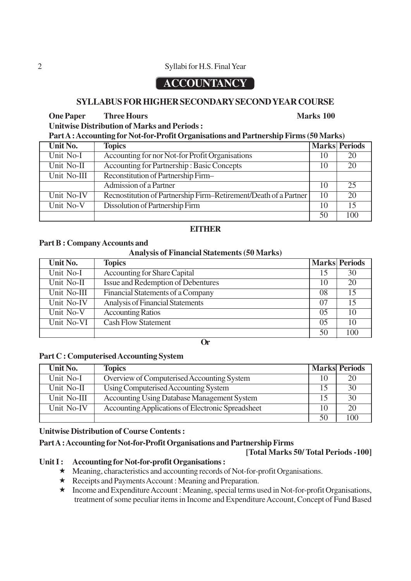#### 2 Syllabi for H.S. Final Year

# **ACCOUNTANCY**

#### **SYLLABUS FOR HIGHER SECONDARY SECOND YEAR COURSE**

#### **One Paper** Three Hours Marks 100

**Unitwise Distribution of Marks and Periods :**

| Part A : Accounting for Not-for-Profit Organisations and Partnership Firms (50 Marks) |  |  |  |
|---------------------------------------------------------------------------------------|--|--|--|
|                                                                                       |  |  |  |

| Unit No.    | <b>Topics</b>                                                    |    | <b>Marks Periods</b> |
|-------------|------------------------------------------------------------------|----|----------------------|
| Unit No-I   | Accounting for nor Not-for Profit Organisations                  | 10 | 20                   |
| Unit No-II  | Accounting for Partnership: Basic Concepts                       | 10 | 20                   |
| Unit No-III | Reconstitution of Partnership Firm-                              |    |                      |
|             | Admission of a Partner                                           | 10 | 25                   |
| Unit No-IV  | Recnostitution of Partnership Firm-Retirement/Death of a Partner | 10 | 20                   |
| Unit No-V   | Dissolution of Partnership Firm                                  | 10 | 15                   |
|             |                                                                  | 50 | 100                  |

#### **EITHER**

#### **Part B : Company Accounts and**

#### **Analysis of Financial Statements (50 Marks)**

| Unit No.    | <b>Topics</b>                           |    | <b>Marks Periods</b> |
|-------------|-----------------------------------------|----|----------------------|
| Unit No-I   | <b>Accounting for Share Capital</b>     | 15 | 30                   |
| Unit No-II  | Issue and Redemption of Debentures      | 10 | 20                   |
| Unit No-III | Financial Statements of a Company       | 08 | 15                   |
| Unit No-IV  | <b>Analysis of Financial Statements</b> | 07 | 15                   |
| Unit No-V   | <b>Accounting Ratios</b>                | 05 | 10                   |
| Unit No-VI  | <b>Cash Flow Statement</b>              | 05 | 10                   |
|             |                                         | 50 | 100                  |

**Or**

#### **Part C : Computerised Accounting System**

| Unit No.    | <b>Topics</b>                                     |    | <b>Marks Periods</b> |
|-------------|---------------------------------------------------|----|----------------------|
| Unit No-I   | Overview of Computerised Accounting System        | 10 | 20                   |
| Unit No-II  | Using Computerised Accounting System              | 15 | 30                   |
| Unit No-III | Accounting Using Database Management System       | 15 | 30                   |
| Unit No-IV  | Accounting Applications of Electronic Spreadsheet | 10 | 20                   |
|             |                                                   | 50 | 100                  |

#### **Unitwise Distribution of Course Contents :**

#### **Part A : Accounting for Not-for-Profit Organisations and Partnership Firms**

#### **[Total Marks 50/ Total Periods -100]**

#### Unit I : **Accounting for Not-for-profit Organisations :**

- Meaning, characteristics and accounting records of Not-for-profit Organisations.
- $\star$  Receipts and Payments Account : Meaning and Preparation.
- Income and Expenditure Account : Meaning, special terms used in Not-for-profit Organisations, treatment of some peculiar items in Income and Expenditure Account, Concept of Fund Based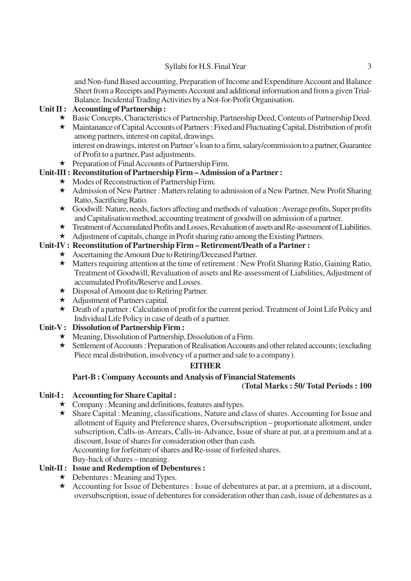#### Syllabi for H.S. Final Year 3

and Non-fund Based accounting, Preparation of Income and Expenditure Account and Balance Sheet from a Receipts and Payments Account and additional information and from a given Trial-Balance. Incidental Trading Activities by a Not-for-Profit Organisation.

#### **Unit II : Accounting of Partnership :**

- Basic Concepts, Characteristics of Partnership, Partnership Deed, Contents of Partnership Deed.
- Maintanance of Capital Accounts of Partners : Fixed and Fluctuating Capital, Distribution of profit among partners, interest on capital, drawings. interest on drawings, interest on Partner's loan to a firm, salary/commission to a partner, Guarantee of Profit to a partner, Past adjustments.
- ★ Preparation of Final Accounts of Partnership Firm.

#### **Unit-III : Reconstitution of Partnership Firm – Admission of a Partner :**

- $\star$  Modes of Reconstruction of Partnership Firm.
- \* Admission of New Partner: Matters relating to admission of a New Partner, New Profit Sharing Ratio, Sacrificing Ratio.
- $\star$  Goodwill: Nature, needs, factors affecting and methods of valuation : Average profits, Super profits and Capitalisation method, accounting treatment of goodwill on admission of a partner.
- Treatment of Accumulated Profits and Losses, Revaluation of assets and Re-assessment of Liabilities.
- $\star$  Adjustment of capitals, change in Profit sharing ratio among the Existing Partners.

#### **Unit-IV : Reconstitution of Partnership Firm – Retirement/Death of a Partner :**

- Ascertaining the Amount Due to Retiring/Deceased Partner.
- Matters requiring attention at the time of retirement : New Profit Sharing Ratio, Gaining Ratio, Treatment of Goodwill, Revaluation of assets and Re-assessment of Liabilities, Adjustment of accumulated Profits/Reserve and Losses.
- ★ Disposal of Amount due to Retiring Partner.
- $\star$  Adjustment of Partners capital.
- Death of a partner : Calculation of profit for the current period. Treatment of Joint Life Policy and Individual Life Policy in case of death of a partner.

#### **Unit-V : Dissolution of Partnership Firm :**

- $\star$  Meaning, Dissolution of Partnership, Dissolution of a Firm.
- \* Settlement of Accounts: Preparation of Realisation Accounts and other related accounts; (excluding Piece meal distribution, insolvency of a partner and sale to a company).

#### **EITHER**

#### **Part-B : Company Accounts and Analysis of Financial Statements**

#### **(Total Marks : 50/ Total Periods : 100**

#### Unit-I: Accounting for Share Capital :

- $\star$  Company : Meaning and definitions, features and types.
- $\star$  Share Capital : Meaning, classifications, Nature and class of shares. Accounting for Issue and allotment of Equity and Preference shares, Oversubscription – proportionate allotment, under subscription, Calls-in-Arrears, Calls-in-Advance, Issue of share at par, at a premium and at a discount, Issue of shares for consideration other than cash.

Accounting for forfeiture of shares and Re-issue of forfeited shares.

Buy-back of shares – meaning.

#### **Unit-II : Issue and Redemption of Debentures :**

- $\star$  Debentures : Meaning and Types.
- Accounting for Issue of Debentures : Issue of debentures at par, at a premium, at a discount, oversubscription, issue of debentures for consideration other than cash, issue of debentures as a